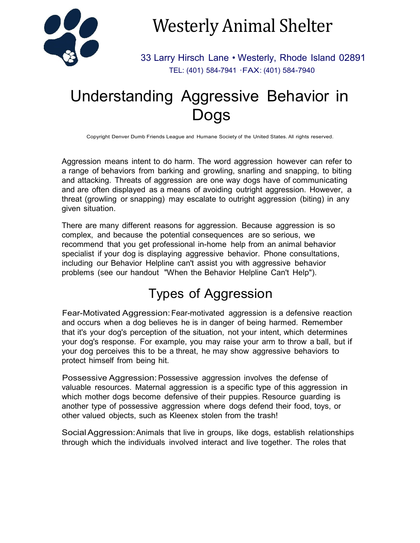

Westerly Animal Shelter

33 Larry Hirsch Lane • Westerly, Rhode Island 02891 TEL: (401) 584-7941 ·FAX: (401) 584-7940

# Understanding Aggressive Behavior in Dogs

Copyright Denver Dumb Friends League and Humane Society of the United States. All rights reserved.

Aggression means intent to do harm. The word aggression however can refer to a range of behaviors from barking and growling, snarling and snapping, to biting and attacking. Threats of aggression are one way dogs have of communicating and are often displayed as a means of avoiding outright aggression. However, a threat (growling or snapping) may escalate to outright aggression (biting) in any given situation.

There are many different reasons for aggression. Because aggression is so complex, and because the potential consequences are so serious, we recommend that you get professional in-home help from an animal behavior specialist if your dog is displaying aggressive behavior. Phone consultations, including our Behavior Helpline can't assist you with aggressive behavior problems (see our handout "When the Behavior Helpline Can't Help").

## Types of Aggression

Fear-Motivated Aggression:Fear-motivated aggression is a defensive reaction and occurs when a dog believes he is in danger of being harmed. Remember that it's your dog's perception of the situation, not your intent, which determines your dog's response. For example, you may raise your arm to throw a ball, but if your dog perceives this to be a threat, he may show aggressive behaviors to protect himself from being hit.

Possessive Aggression: Possessive aggression involves the defense of valuable resources. Maternal aggression is a specific type of this aggression in which mother dogs become defensive of their puppies. Resource guarding is another type of possessive aggression where dogs defend their food, toys, or other valued objects, such as Kleenex stolen from the trash!

SocialAggression:Animals that live in groups, like dogs, establish relationships through which the individuals involved interact and live together. The roles that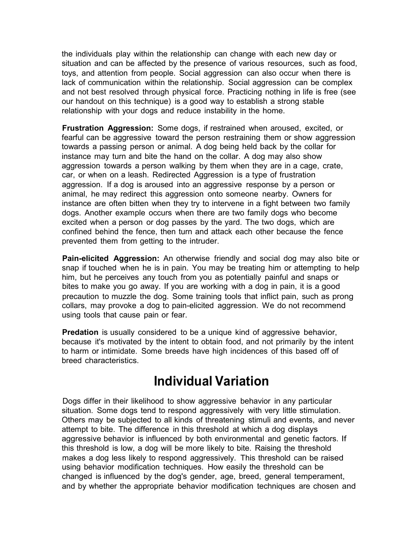the individuals play within the relationship can change with each new day or situation and can be affected by the presence of various resources, such as food, toys, and attention from people. Social aggression can also occur when there is lack of communication within the relationship. Social aggression can be complex and not best resolved through physical force. Practicing nothing in life is free (see our handout on this technique) is a good way to establish a strong stable relationship with your dogs and reduce instability in the home.

**Frustration Aggression:** Some dogs, if restrained when aroused, excited, or fearful can be aggressive toward the person restraining them or show aggression towards a passing person or animal. A dog being held back by the collar for instance may turn and bite the hand on the collar. A dog may also show aggression towards a person walking by them when they are in a cage, crate, car, or when on a leash. Redirected Aggression is a type of frustration aggression. If a dog is aroused into an aggressive response by a person or animal, he may redirect this aggression onto someone nearby. Owners for instance are often bitten when they try to intervene in a fight between two family dogs. Another example occurs when there are two family dogs who become excited when a person or dog passes by the yard. The two dogs, which are confined behind the fence, then turn and attack each other because the fence prevented them from getting to the intruder.

**Pain-elicited Aggression:** An otherwise friendly and social dog may also bite or snap if touched when he is in pain. You may be treating him or attempting to help him, but he perceives any touch from you as potentially painful and snaps or bites to make you go away. If you are working with a dog in pain, it is a good precaution to muzzle the dog. Some training tools that inflict pain, such as prong collars, may provoke a dog to pain-elicited aggression. We do not recommend using tools that cause pain or fear.

**Predation** is usually considered to be a unique kind of aggressive behavior, because it's motivated by the intent to obtain food, and not primarily by the intent to harm or intimidate. Some breeds have high incidences of this based off of breed characteristics.

#### **Individual Variation**

Dogs differ in their likelihood to show aggressive behavior in any particular situation. Some dogs tend to respond aggressively with very little stimulation. Others may be subjected to all kinds of threatening stimuli and events, and never attempt to bite. The difference in this threshold at which a dog displays aggressive behavior is influenced by both environmental and genetic factors. If this threshold is low, a dog will be more likely to bite. Raising the threshold makes a dog less likely to respond aggressively. This threshold can be raised using behavior modification techniques. How easily the threshold can be changed is influenced by the dog's gender, age, breed, general temperament, and by whether the appropriate behavior modification techniques are chosen and